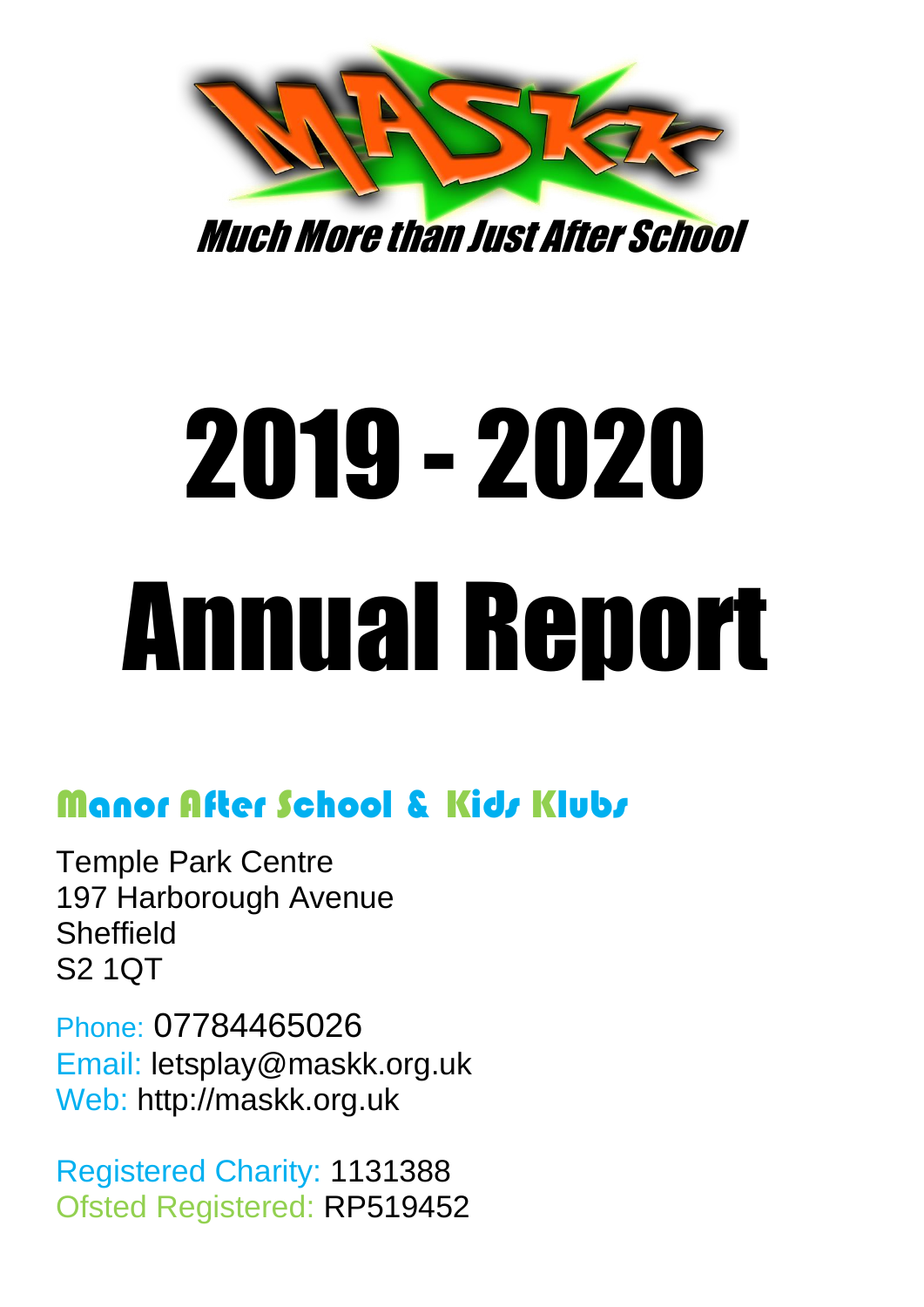

Much More than Just After School

# 2019 - 2020 Annual Report

# Manor After School & Kids Klubs

Temple Park Centre 197 Harborough Avenue **Sheffield** S2 1QT

Phone: 07784465026 Email: letsplay@maskk.org.uk Web: http://maskk.org.uk

Registered Charity: 1131388 Ofsted Registered: RP519452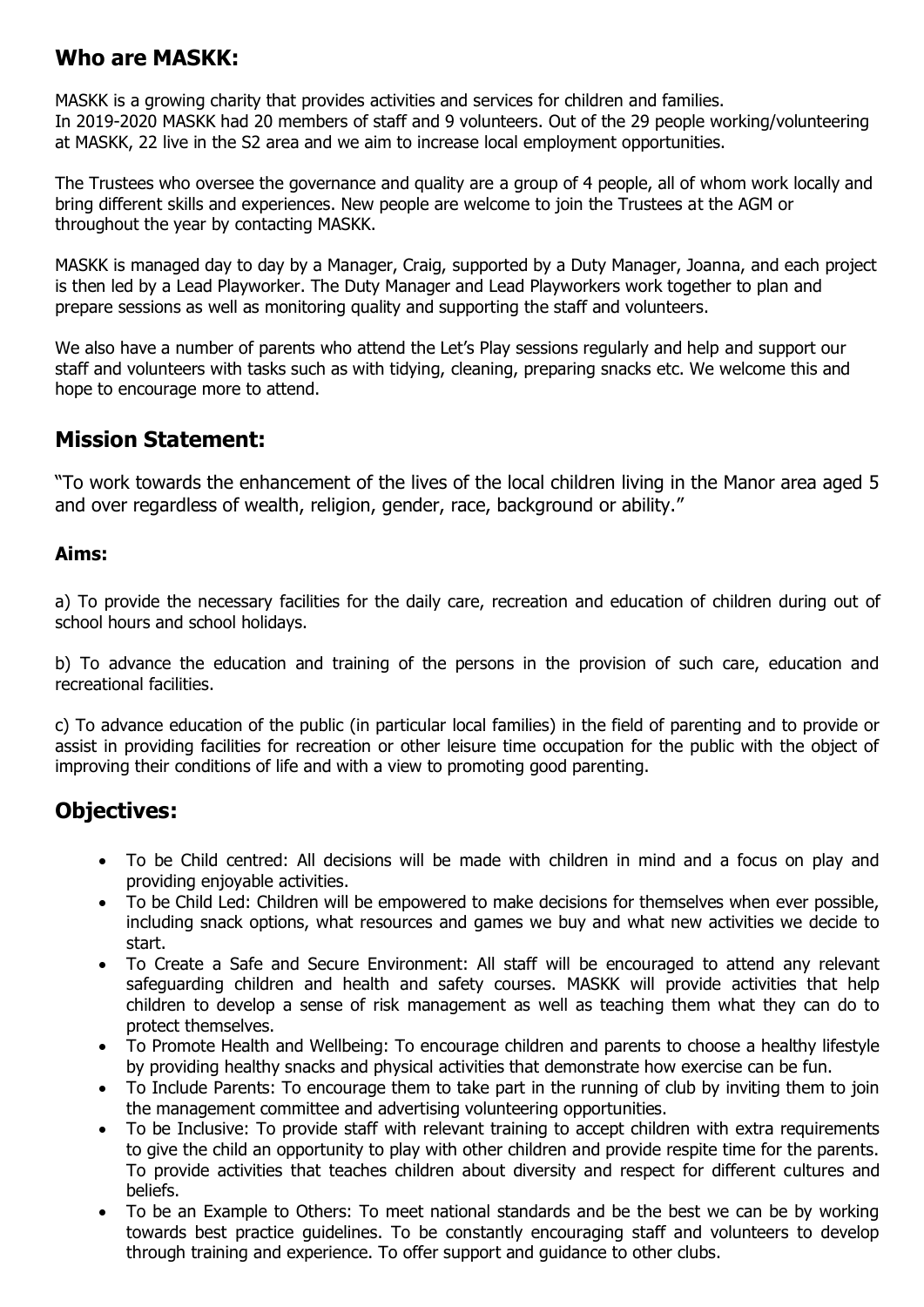# **Who are MASKK:**

MASKK is a growing charity that provides activities and services for children and families. In 2019-2020 MASKK had 20 members of staff and 9 volunteers. Out of the 29 people working/volunteering at MASKK, 22 live in the S2 area and we aim to increase local employment opportunities.

The Trustees who oversee the governance and quality are a group of 4 people, all of whom work locally and bring different skills and experiences. New people are welcome to join the Trustees at the AGM or throughout the year by contacting MASKK.

MASKK is managed day to day by a Manager, Craig, supported by a Duty Manager, Joanna, and each project is then led by a Lead Playworker. The Duty Manager and Lead Playworkers work together to plan and prepare sessions as well as monitoring quality and supporting the staff and volunteers.

We also have a number of parents who attend the Let's Play sessions regularly and help and support our staff and volunteers with tasks such as with tidying, cleaning, preparing snacks etc. We welcome this and hope to encourage more to attend.

#### **Mission Statement:**

"To work towards the enhancement of the lives of the local children living in the Manor area aged 5 and over regardless of wealth, religion, gender, race, background or ability."

#### **Aims:**

a) To provide the necessary facilities for the daily care, recreation and education of children during out of school hours and school holidays.

b) To advance the education and training of the persons in the provision of such care, education and recreational facilities.

c) To advance education of the public (in particular local families) in the field of parenting and to provide or assist in providing facilities for recreation or other leisure time occupation for the public with the object of improving their conditions of life and with a view to promoting good parenting.

# **Objectives:**

- To be Child centred: All decisions will be made with children in mind and a focus on play and providing enjoyable activities.
- To be Child Led: Children will be empowered to make decisions for themselves when ever possible, including snack options, what resources and games we buy and what new activities we decide to start.
- To Create a Safe and Secure Environment: All staff will be encouraged to attend any relevant safeguarding children and health and safety courses. MASKK will provide activities that help children to develop a sense of risk management as well as teaching them what they can do to protect themselves.
- To Promote Health and Wellbeing: To encourage children and parents to choose a healthy lifestyle by providing healthy snacks and physical activities that demonstrate how exercise can be fun.
- To Include Parents: To encourage them to take part in the running of club by inviting them to join the management committee and advertising volunteering opportunities.
- To be Inclusive: To provide staff with relevant training to accept children with extra requirements to give the child an opportunity to play with other children and provide respite time for the parents. To provide activities that teaches children about diversity and respect for different cultures and beliefs.
- To be an Example to Others: To meet national standards and be the best we can be by working towards best practice guidelines. To be constantly encouraging staff and volunteers to develop through training and experience. To offer support and guidance to other clubs.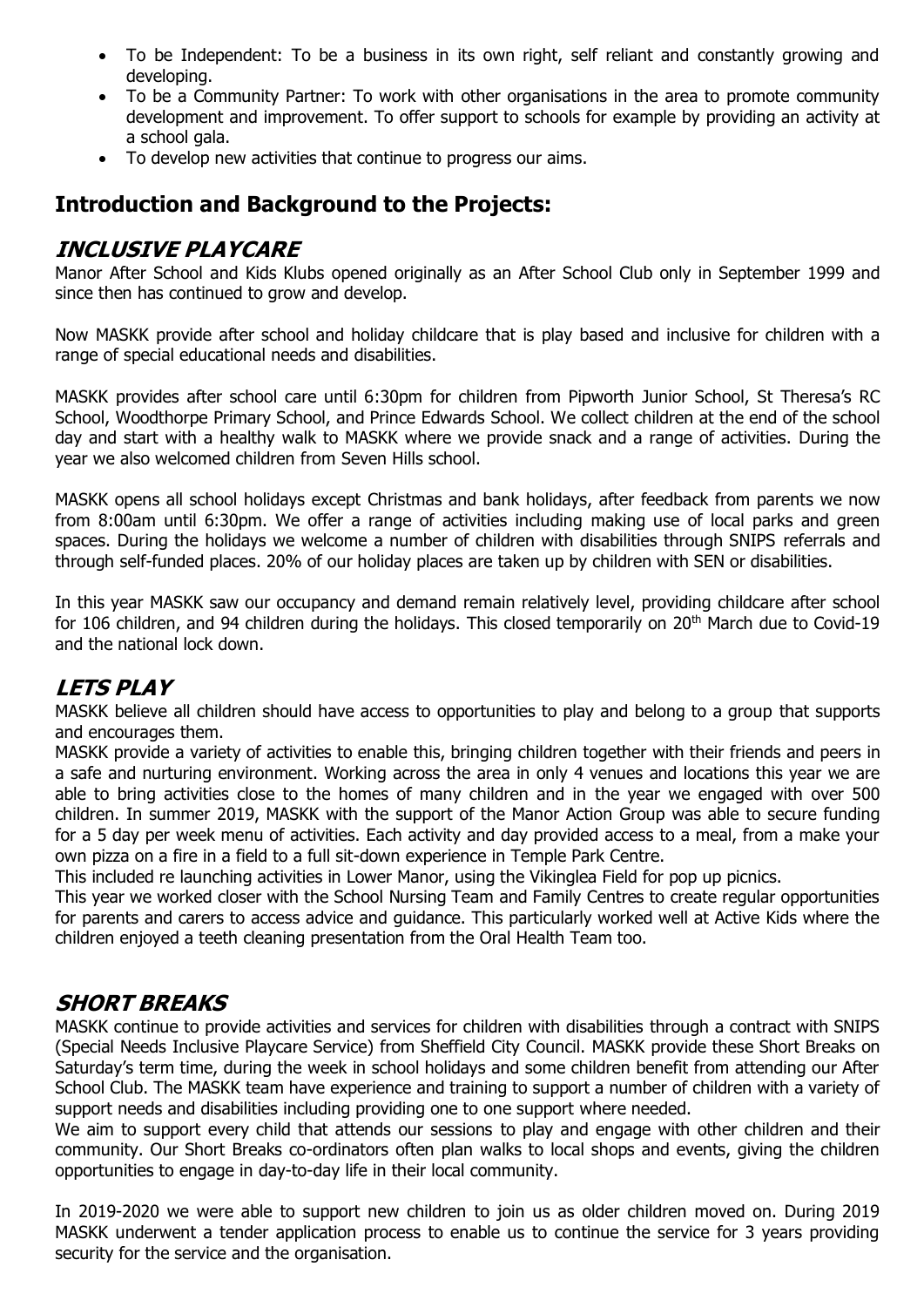- To be Independent: To be a business in its own right, self reliant and constantly growing and developing.
- To be a Community Partner: To work with other organisations in the area to promote community development and improvement. To offer support to schools for example by providing an activity at a school gala.
- To develop new activities that continue to progress our aims.

# **Introduction and Background to the Projects:**

#### **INCLUSIVE PLAYCARE**

Manor After School and Kids Klubs opened originally as an After School Club only in September 1999 and since then has continued to grow and develop.

Now MASKK provide after school and holiday childcare that is play based and inclusive for children with a range of special educational needs and disabilities.

MASKK provides after school care until 6:30pm for children from Pipworth Junior School, St Theresa's RC School, Woodthorpe Primary School, and Prince Edwards School. We collect children at the end of the school day and start with a healthy walk to MASKK where we provide snack and a range of activities. During the year we also welcomed children from Seven Hills school.

MASKK opens all school holidays except Christmas and bank holidays, after feedback from parents we now from 8:00am until 6:30pm. We offer a range of activities including making use of local parks and green spaces. During the holidays we welcome a number of children with disabilities through SNIPS referrals and through self-funded places. 20% of our holiday places are taken up by children with SEN or disabilities.

In this year MASKK saw our occupancy and demand remain relatively level, providing childcare after school for 106 children, and 94 children during the holidays. This closed temporarily on 20<sup>th</sup> March due to Covid-19 and the national lock down.

#### **LETS PLAY**

MASKK believe all children should have access to opportunities to play and belong to a group that supports and encourages them.

MASKK provide a variety of activities to enable this, bringing children together with their friends and peers in a safe and nurturing environment. Working across the area in only 4 venues and locations this year we are able to bring activities close to the homes of many children and in the year we engaged with over 500 children. In summer 2019, MASKK with the support of the Manor Action Group was able to secure funding for a 5 day per week menu of activities. Each activity and day provided access to a meal, from a make your own pizza on a fire in a field to a full sit-down experience in Temple Park Centre.

This included re launching activities in Lower Manor, using the Vikinglea Field for pop up picnics.

This year we worked closer with the School Nursing Team and Family Centres to create regular opportunities for parents and carers to access advice and guidance. This particularly worked well at Active Kids where the children enjoyed a teeth cleaning presentation from the Oral Health Team too.

#### **SHORT BREAKS**

MASKK continue to provide activities and services for children with disabilities through a contract with SNIPS (Special Needs Inclusive Playcare Service) from Sheffield City Council. MASKK provide these Short Breaks on Saturday's term time, during the week in school holidays and some children benefit from attending our After School Club. The MASKK team have experience and training to support a number of children with a variety of support needs and disabilities including providing one to one support where needed.

We aim to support every child that attends our sessions to play and engage with other children and their community. Our Short Breaks co-ordinators often plan walks to local shops and events, giving the children opportunities to engage in day-to-day life in their local community.

In 2019-2020 we were able to support new children to join us as older children moved on. During 2019 MASKK underwent a tender application process to enable us to continue the service for 3 years providing security for the service and the organisation.